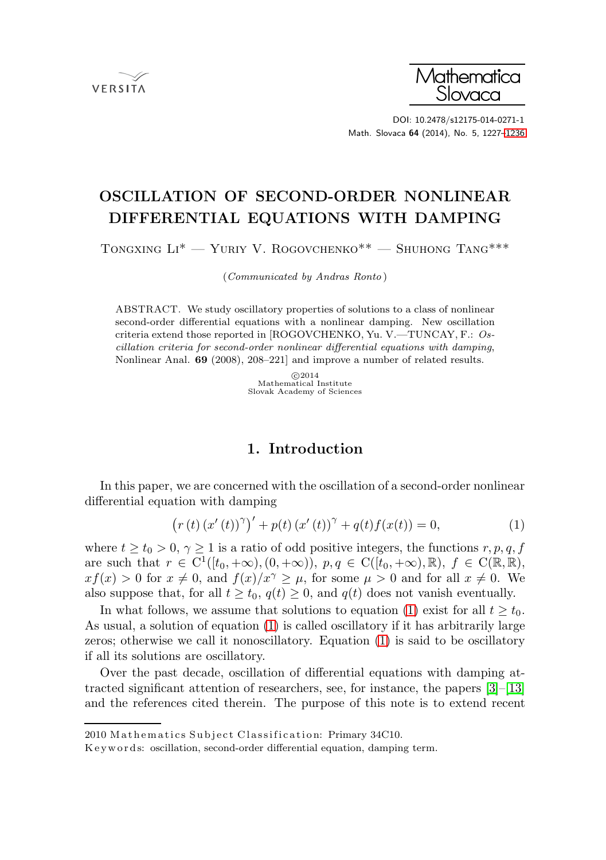



DOI: 10.2478/s12175-014-0271-1 Math. Slovaca **64** (2014), No. 5, 1227[–1236](#page-8-0)

# **OSCILLATION OF SECOND-ORDER NONLINEAR DIFFERENTIAL EQUATIONS WITH DAMPING**

(Communicated by Andras Ronto )

ABSTRACT. We study oscillatory properties of solutions to a class of nonlinear second-order differential equations with a nonlinear damping. New oscillation criteria extend those reported in [ROGOVCHENKO, Yu. V.—TUNCAY, F.: Oscillation criteria for second-order nonlinear differential equations with damping, Nonlinear Anal. **69** (2008), 208–221] and improve a number of related results.

> <sup>c</sup> <sup>2014</sup> Mathematical Institute Slovak Academy of Sciences

# <span id="page-0-0"></span>**1. Introduction**

In this paper, we are concerned with the oscillation of a second-order nonlinear differential equation with damping

$$
(r(t) (x'(t))^{\gamma})' + p(t) (x'(t))^{\gamma} + q(t) f(x(t)) = 0,
$$
\n(1)

where  $t \geq t_0 > 0$ ,  $\gamma \geq 1$  is a ratio of odd positive integers, the functions r, p, q, f are such that  $r \in C^1([t_0, +\infty), (0, +\infty))$ ,  $p, q \in C([t_0, +\infty), \mathbb{R})$ ,  $f \in C(\mathbb{R}, \mathbb{R})$ ,  $xf(x) > 0$  for  $x \neq 0$ , and  $f(x)/x^{\gamma} \geq \mu$ , for some  $\mu > 0$  and for all  $x \neq 0$ . We also suppose that, for all  $t \geq t_0$ ,  $q(t) \geq 0$ , and  $q(t)$  does not vanish eventually.

In what follows, we assume that solutions to equation [\(1\)](#page-0-0) exist for all  $t \geq t_0$ . As usual, a solution of equation [\(1\)](#page-0-0) is called oscillatory if it has arbitrarily large zeros; otherwise we call it nonoscillatory. Equation [\(1\)](#page-0-0) is said to be oscillatory if all its solutions are oscillatory.

Over the past decade, oscillation of differential equations with damping attracted significant attention of researchers, see, for instance, the papers [\[3\]](#page-8-1)–[\[13\]](#page-9-0) and the references cited therein. The purpose of this note is to extend recent

<sup>2010</sup> Mathematics Subject Classification: Primary 34C10.

K e y w ords: oscillation, second-order differential equation, damping term.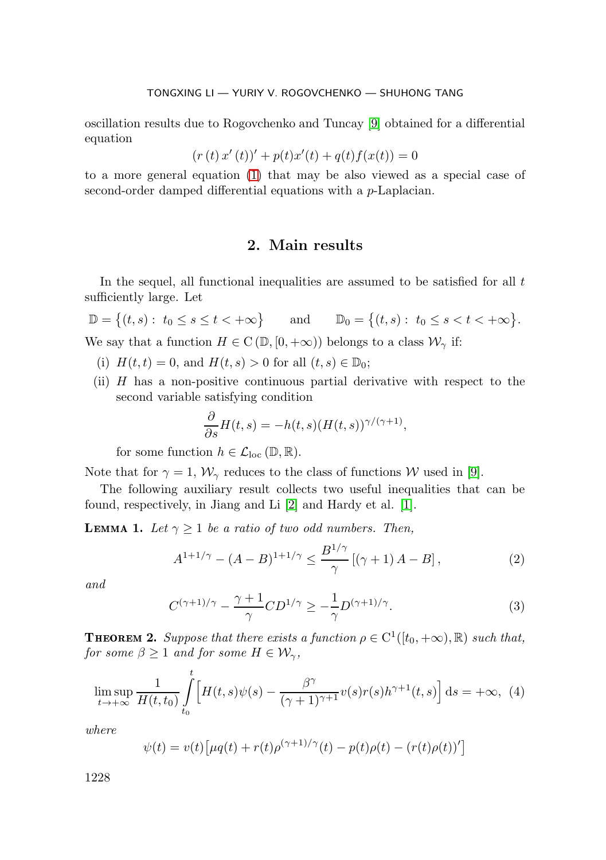oscillation results due to Rogovchenko and Tuncay [\[9\]](#page-8-2) obtained for a differential equation

$$
(r(t) x'(t))' + p(t) x'(t) + q(t) f(x(t)) = 0
$$

to a more general equation [\(1\)](#page-0-0) that may be also viewed as a special case of second-order damped differential equations with a p-Laplacian.

## **2. Main results**

In the sequel, all functional inequalities are assumed to be satisfied for all t sufficiently large. Let

 $\mathbb{D} = \{(t, s): t_0 \le s \le t < +\infty\}$  and  $\mathbb{D}_0 = \{(t, s): t_0 \le s < t < +\infty\}.$ 

We say that a function  $H \in \mathcal{C}(\mathbb{D}, [0, +\infty))$  belongs to a class  $\mathcal{W}_{\gamma}$  if:

- (i)  $H(t, t) = 0$ , and  $H(t, s) > 0$  for all  $(t, s) \in \mathbb{D}_0$ ;
- (ii) H has a non-positive continuous partial derivative with respect to the second variable satisfying condition

<span id="page-1-1"></span><span id="page-1-0"></span>
$$
\frac{\partial}{\partial s}H(t,s) = -h(t,s)(H(t,s))^{\gamma/(\gamma+1)},
$$

for some function  $h \in \mathcal{L}_{loc}(\mathbb{D}, \mathbb{R})$ .

Note that for  $\gamma = 1$ ,  $\mathcal{W}_{\gamma}$  reduces to the class of functions W used in [\[9\]](#page-8-2).

The following auxiliary result collects two useful inequalities that can be found, respectively, in Jiang and Li [\[2\]](#page-8-3) and Hardy et al. [\[1\]](#page-8-4).

**LEMMA 1.** Let  $\gamma \geq 1$  be a ratio of two odd numbers. Then,

<span id="page-1-3"></span>
$$
A^{1+1/\gamma} - (A - B)^{1+1/\gamma} \le \frac{B^{1/\gamma}}{\gamma} \left[ (\gamma + 1) A - B \right],\tag{2}
$$

*and*

<span id="page-1-2"></span>
$$
C^{(\gamma+1)/\gamma} - \frac{\gamma+1}{\gamma} CD^{1/\gamma} \ge -\frac{1}{\gamma} D^{(\gamma+1)/\gamma}.
$$
 (3)

**THEOREM 2.** Suppose that there exists a function  $\rho \in C^1([t_0, +\infty), \mathbb{R})$  such that, *for some*  $\beta \geq 1$  *and for some*  $H \in \mathcal{W}_{\gamma}$ *,* 

$$
\limsup_{t \to +\infty} \frac{1}{H(t,t_0)} \int_{t_0}^t \left[ H(t,s)\psi(s) - \frac{\beta^\gamma}{(\gamma+1)^{\gamma+1}} v(s)r(s)h^{\gamma+1}(t,s) \right] ds = +\infty, \tag{4}
$$

*where*

$$
\psi(t) = v(t) \left[ \mu q(t) + r(t) \rho^{(\gamma + 1)/\gamma}(t) - p(t) \rho(t) - (r(t) \rho(t))' \right]
$$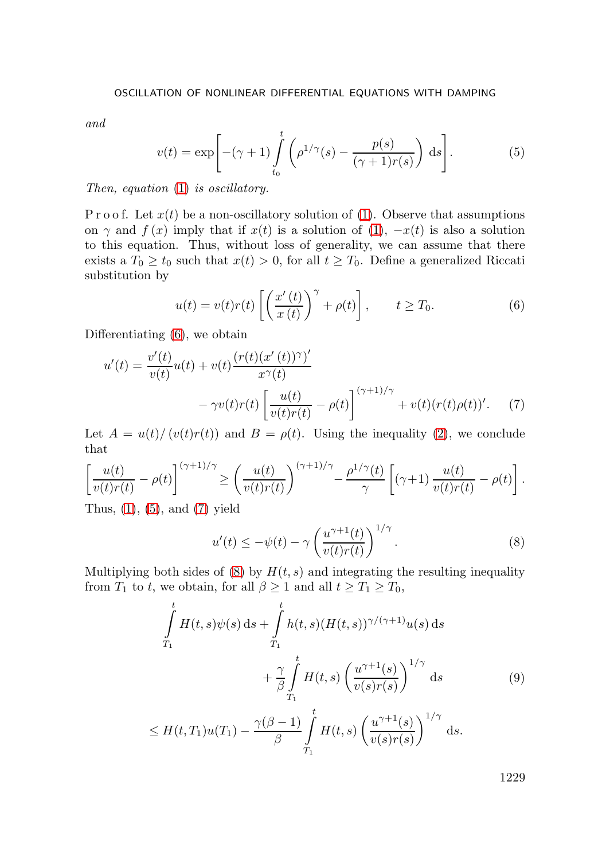*and*

<span id="page-2-1"></span>
$$
v(t) = \exp\left[-(\gamma + 1)\int_{t_0}^t \left(\rho^{1/\gamma}(s) - \frac{p(s)}{(\gamma + 1)r(s)}\right) ds\right].
$$
 (5)

*Then, equation* [\(1\)](#page-0-0) *is oscillatory.*

P r o o f. Let  $x(t)$  be a non-oscillatory solution of [\(1\)](#page-0-0). Observe that assumptions on  $\gamma$  and  $f(x)$  imply that if  $x(t)$  is a solution of [\(1\)](#page-0-0),  $-x(t)$  is also a solution to this equation. Thus, without loss of generality, we can assume that there exists a  $T_0 \ge t_0$  such that  $x(t) > 0$ , for all  $t \ge T_0$ . Define a generalized Riccati substitution by

<span id="page-2-2"></span><span id="page-2-0"></span>
$$
u(t) = v(t)r(t)\left[\left(\frac{x'(t)}{x(t)}\right)^{\gamma} + \rho(t)\right], \qquad t \ge T_0.
$$
\n(6)

Differentiating [\(6\)](#page-2-0), we obtain

$$
u'(t) = \frac{v'(t)}{v(t)}u(t) + v(t)\frac{(r(t)(x'(t))^{\gamma})'}{x^{\gamma}(t)}
$$

$$
-\gamma v(t)r(t)\left[\frac{u(t)}{v(t)r(t)} - \rho(t)\right]^{(\gamma+1)/\gamma} + v(t)(r(t)\rho(t))'. \tag{7}
$$

Let  $A = u(t)/(v(t)r(t))$  and  $B = \rho(t)$ . Using the inequality [\(2\)](#page-1-0), we conclude that

$$
\left[\frac{u(t)}{v(t)r(t)} - \rho(t)\right]^{(\gamma+1)/\gamma} \ge \left(\frac{u(t)}{v(t)r(t)}\right)^{(\gamma+1)/\gamma} - \frac{\rho^{1/\gamma}(t)}{\gamma} \left[ (\gamma+1) \frac{u(t)}{v(t)r(t)} - \rho(t) \right].
$$
  
Thus, (1), (5), and (7) yield

Thus,  $(1)$ ,  $(5)$ , and  $(7)$  yield

<span id="page-2-3"></span>
$$
u'(t) \le -\psi(t) - \gamma \left(\frac{u^{\gamma+1}(t)}{v(t)r(t)}\right)^{1/\gamma}.
$$
 (8)

Multiplying both sides of  $(8)$  by  $H(t, s)$  and integrating the resulting inequality from  $T_1$  to t, we obtain, for all  $\beta \ge 1$  and all  $t \ge T_1 \ge T_0$ ,

<span id="page-2-4"></span>
$$
\int_{T_1}^t H(t,s)\psi(s) ds + \int_{T_1}^t h(t,s) (H(t,s))^{\gamma/(\gamma+1)} u(s) ds
$$
\n
$$
+ \frac{\gamma}{\beta} \int_{T_1}^t H(t,s) \left(\frac{u^{\gamma+1}(s)}{v(s)r(s)}\right)^{1/\gamma} ds \qquad (9)
$$
\n
$$
\leq H(t,T_1)u(T_1) - \frac{\gamma(\beta-1)}{\beta} \int_{T_1}^t H(t,s) \left(\frac{u^{\gamma+1}(s)}{v(s)r(s)}\right)^{1/\gamma} ds.
$$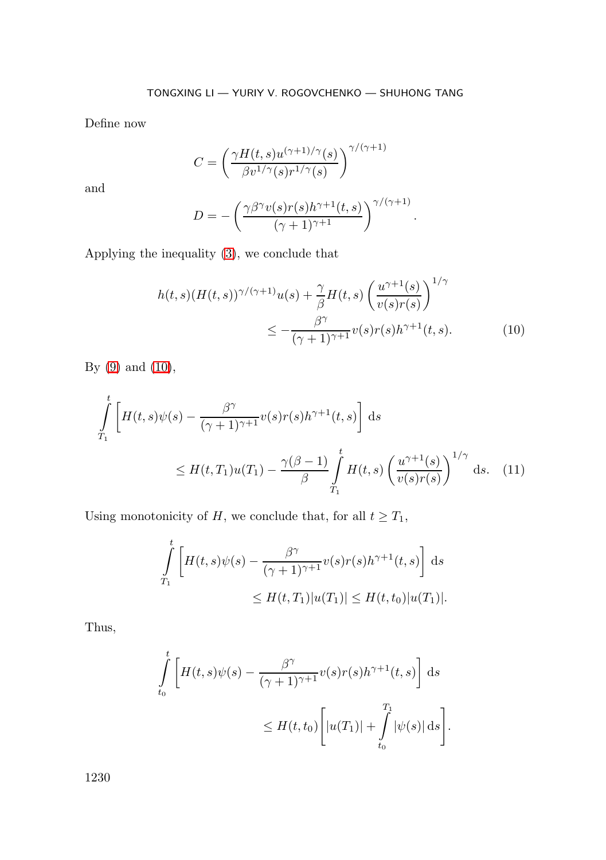Define now

$$
C = \left(\frac{\gamma H(t,s)u^{(\gamma+1)/\gamma}(s)}{\beta v^{1/\gamma}(s)r^{1/\gamma}(s)}\right)^{\gamma/(\gamma+1)}
$$

and

<span id="page-3-1"></span><span id="page-3-0"></span>
$$
D = -\left(\frac{\gamma \beta^{\gamma} v(s) r(s) h^{\gamma+1}(t,s)}{(\gamma+1)^{\gamma+1}}\right)^{\gamma/(\gamma+1)}.
$$

Applying the inequality [\(3\)](#page-1-1), we conclude that

$$
h(t,s)(H(t,s))^{\gamma/(\gamma+1)}u(s) + \frac{\gamma}{\beta}H(t,s)\left(\frac{u^{\gamma+1}(s)}{v(s)r(s)}\right)^{1/\gamma}
$$
  

$$
\leq -\frac{\beta^{\gamma}}{(\gamma+1)^{\gamma+1}}v(s)r(s)h^{\gamma+1}(t,s).
$$
 (10)

By [\(9\)](#page-2-4) and [\(10\)](#page-3-0),

$$
\int_{T_1}^t \left[ H(t,s)\psi(s) - \frac{\beta^{\gamma}}{(\gamma+1)^{\gamma+1}} v(s)r(s)h^{\gamma+1}(t,s) \right] ds
$$
\n
$$
\leq H(t,T_1)u(T_1) - \frac{\gamma(\beta-1)}{\beta} \int_{T_1}^t H(t,s) \left( \frac{u^{\gamma+1}(s)}{v(s)r(s)} \right)^{1/\gamma} ds. \quad (11)
$$

Using monotonicity of  $H,$  we conclude that, for all  $t\geq T_1,$ 

$$
\int_{T_1}^t \left[ H(t,s)\psi(s) - \frac{\beta^{\gamma}}{(\gamma+1)^{\gamma+1}} v(s)r(s)h^{\gamma+1}(t,s) \right] ds
$$
  

$$
\leq H(t,T_1)|u(T_1)| \leq H(t,t_0)|u(T_1)|.
$$

Thus,

$$
\int_{t_0}^t \left[ H(t,s)\psi(s) - \frac{\beta^{\gamma}}{(\gamma+1)^{\gamma+1}} v(s)r(s)h^{\gamma+1}(t,s) \right] ds
$$
  

$$
\leq H(t,t_0) \left[ |u(T_1)| + \int_{t_0}^{T_1} |\psi(s)| ds \right].
$$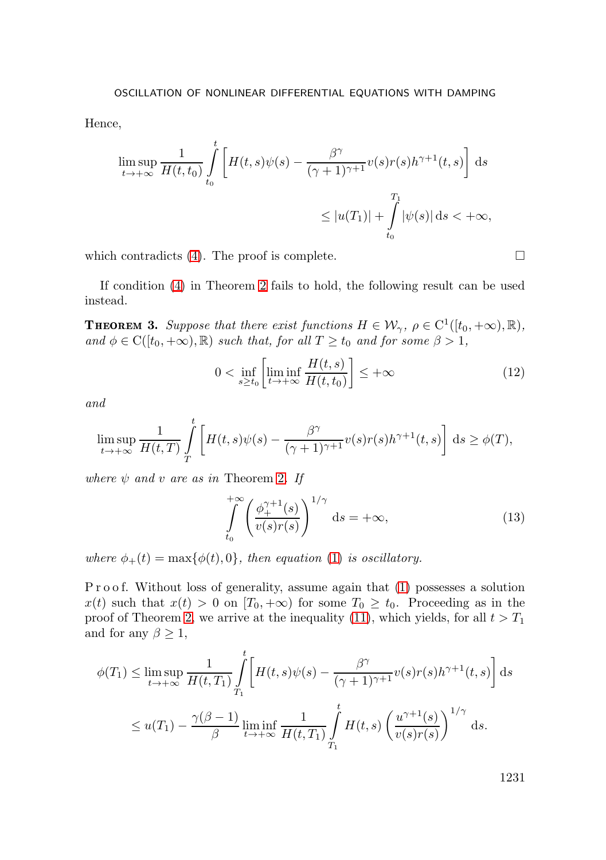Hence,

$$
\limsup_{t \to +\infty} \frac{1}{H(t,t_0)} \int_{t_0}^t \left[ H(t,s)\psi(s) - \frac{\beta^{\gamma}}{(\gamma+1)^{\gamma+1}} v(s)r(s)h^{\gamma+1}(t,s) \right] ds
$$
  

$$
\leq |u(T_1)| + \int_{t_0}^{T_1} |\psi(s)| ds < +\infty,
$$

<span id="page-4-2"></span>which contradicts [\(4\)](#page-1-2). The proof is complete.  $\Box$ 

If condition [\(4\)](#page-1-2) in Theorem [2](#page-1-3) fails to hold, the following result can be used instead.

**THEOREM 3.** Suppose that there exist functions  $H \in \mathcal{W}_{\gamma}$ ,  $\rho \in C^1([t_0, +\infty), \mathbb{R})$ , *and*  $\phi \in C([t_0, +\infty), \mathbb{R})$  *such that, for all*  $T \ge t_0$  *and for some*  $\beta > 1$ *,* 

<span id="page-4-0"></span>
$$
0 < \inf_{s \ge t_0} \left[ \liminf_{t \to +\infty} \frac{H(t, s)}{H(t, t_0)} \right] \le +\infty \tag{12}
$$

*and*

$$
\limsup_{t\to +\infty}\frac{1}{H(t,T)}\int\limits_T^t\left[H(t,s)\psi(s)-\frac{\beta^\gamma}{(\gamma+1)^{\gamma+1}}v(s)r(s)h^{\gamma+1}(t,s)\right]\,\mathrm{d} s\geq \phi(T),
$$

*where*  $\psi$  *and*  $v$  *are as in* Theorem [2](#page-1-3)*. If* 

<span id="page-4-1"></span>
$$
\int_{t_0}^{+\infty} \left(\frac{\phi_+^{\gamma+1}(s)}{v(s)r(s)}\right)^{1/\gamma} ds = +\infty,
$$
\n(13)

*where*  $\phi_{+}(t) = \max{\{\phi(t), 0\}}$ *, then equation* [\(1\)](#page-0-0) *is oscillatory.* 

P r o o f. Without loss of generality, assume again that [\(1\)](#page-0-0) possesses a solution  $x(t)$  such that  $x(t) > 0$  on  $[T_0, +\infty)$  for some  $T_0 \geq t_0$ . Proceeding as in the proof of Theorem [2,](#page-1-3) we arrive at the inequality [\(11\)](#page-3-1), which yields, for all  $t>T_1$ and for any  $\beta \geq 1$ ,

$$
\phi(T_1) \leq \limsup_{t \to +\infty} \frac{1}{H(t,T_1)} \int_{T_1}^t \left[ H(t,s)\psi(s) - \frac{\beta^{\gamma}}{(\gamma+1)^{\gamma+1}} v(s)r(s)h^{\gamma+1}(t,s) \right] ds
$$
  

$$
\leq u(T_1) - \frac{\gamma(\beta-1)}{\beta} \liminf_{t \to +\infty} \frac{1}{H(t,T_1)} \int_{T_1}^t H(t,s) \left( \frac{u^{\gamma+1}(s)}{v(s)r(s)} \right)^{1/\gamma} ds.
$$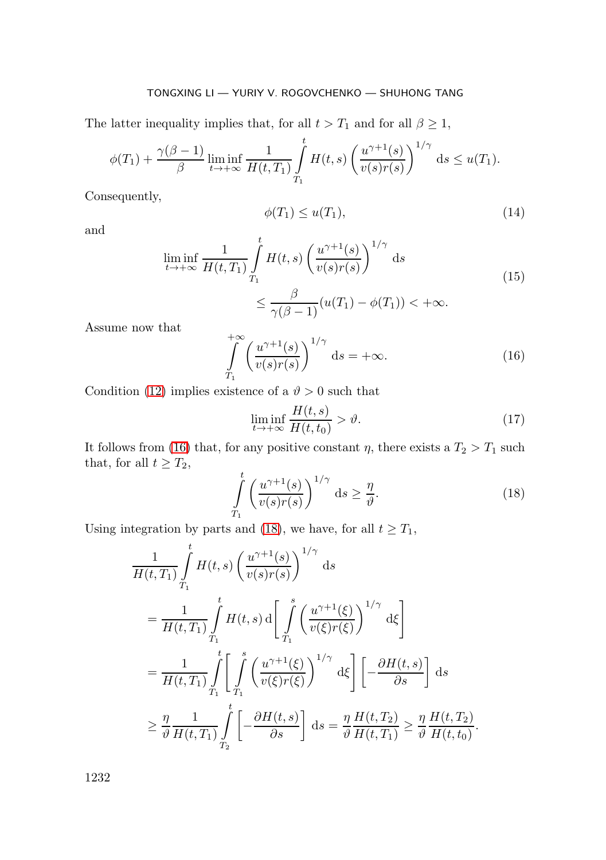### TONGXING LI — YURIY V. ROGOVCHENKO — SHUHONG TANG

The latter inequality implies that, for all  $t>T_1$  and for all  $\beta \geq 1$ ,

$$
\phi(T_1) + \frac{\gamma(\beta - 1)}{\beta} \liminf_{t \to +\infty} \frac{1}{H(t, T_1)} \int_{T_1}^t H(t, s) \left(\frac{u^{\gamma+1}(s)}{v(s)r(s)}\right)^{1/\gamma} ds \le u(T_1).
$$

Consequently,

<span id="page-5-4"></span><span id="page-5-3"></span><span id="page-5-0"></span>
$$
\phi(T_1) \le u(T_1),\tag{14}
$$

and

$$
\liminf_{t \to +\infty} \frac{1}{H(t,T_1)} \int_{T_1}^t H(t,s) \left(\frac{u^{\gamma+1}(s)}{v(s)r(s)}\right)^{1/\gamma} ds
$$
\n
$$
\leq \frac{\beta}{\gamma(\beta-1)} (u(T_1) - \phi(T_1)) < +\infty.
$$
\n(15)

Assume now that

$$
\int_{T_1}^{+\infty} \left(\frac{u^{\gamma+1}(s)}{v(s)r(s)}\right)^{1/\gamma} ds = +\infty.
$$
\n(16)

Condition [\(12\)](#page-4-0) implies existence of a  $\vartheta > 0$  such that

<span id="page-5-2"></span><span id="page-5-1"></span>
$$
\liminf_{t \to +\infty} \frac{H(t,s)}{H(t,t_0)} > \vartheta. \tag{17}
$$

It follows from [\(16\)](#page-5-0) that, for any positive constant  $\eta$ , there exists a  $T_2 > T_1$  such that, for all  $t\geq T_2,$ 

$$
\int_{T_1}^t \left(\frac{u^{\gamma+1}(s)}{v(s)r(s)}\right)^{1/\gamma} ds \ge \frac{\eta}{\vartheta}.\tag{18}
$$

Using integration by parts and [\(18\)](#page-5-1), we have, for all  $t \geq T_1$ ,

$$
\frac{1}{H(t,T_1)} \int_{T_1}^t H(t,s) \left(\frac{u^{\gamma+1}(s)}{v(s)r(s)}\right)^{1/\gamma} ds
$$
\n
$$
= \frac{1}{H(t,T_1)} \int_{T_1}^t H(t,s) d\left[\int_{T_1}^s \left(\frac{u^{\gamma+1}(\xi)}{v(\xi)r(\xi)}\right)^{1/\gamma} d\xi\right]
$$
\n
$$
= \frac{1}{H(t,T_1)} \int_{T_1}^t \left[\int_{T_1}^s \left(\frac{u^{\gamma+1}(\xi)}{v(\xi)r(\xi)}\right)^{1/\gamma} d\xi\right] \left[-\frac{\partial H(t,s)}{\partial s}\right] ds
$$
\n
$$
\geq \frac{\eta}{\vartheta} \frac{1}{H(t,T_1)} \int_{T_2}^t \left[-\frac{\partial H(t,s)}{\partial s}\right] ds = \frac{\eta}{\vartheta} \frac{H(t,T_2)}{H(t,T_1)} \geq \frac{\eta}{\vartheta} \frac{H(t,T_2)}{H(t,t_0)}.
$$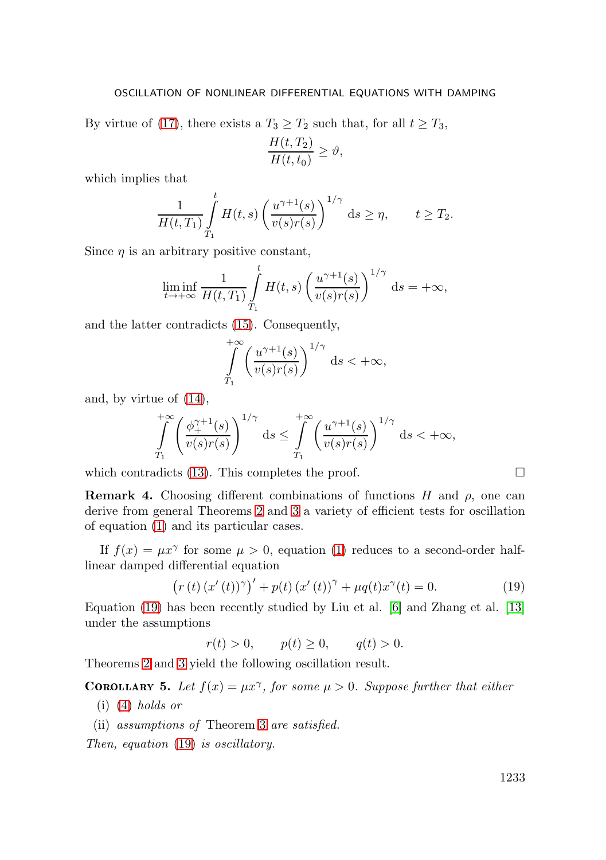By virtue of [\(17\)](#page-5-2), there exists a  $T_3 \geq T_2$  such that, for all  $t \geq T_3$ ,

$$
\frac{H(t,T_2)}{H(t,t_0)} \ge \vartheta,
$$

which implies that

$$
\frac{1}{H(t,T_1)}\int\limits_{T_1}^t H(t,s)\left(\frac{u^{\gamma+1}(s)}{v(s)r(s)}\right)^{1/\gamma}\,\mathrm{d} s\geq \eta,\qquad t\geq T_2.
$$

Since  $\eta$  is an arbitrary positive constant,

$$
\liminf_{t \to +\infty} \frac{1}{H(t,T_1)} \int_{T_1}^t H(t,s) \left(\frac{u^{\gamma+1}(s)}{v(s)r(s)}\right)^{1/\gamma} ds = +\infty,
$$

and the latter contradicts [\(15\)](#page-5-3). Consequently,

$$
\int_{T_1}^{+\infty} \left(\frac{u^{\gamma+1}(s)}{v(s)r(s)}\right)^{1/\gamma} ds < +\infty,
$$

and, by virtue of [\(14\)](#page-5-4),

$$
\int_{T_1}^{+\infty} \left( \frac{\phi_+^{\gamma+1}(s)}{v(s)r(s)} \right)^{1/\gamma} ds \le \int_{T_1}^{+\infty} \left( \frac{u^{\gamma+1}(s)}{v(s)r(s)} \right)^{1/\gamma} ds < +\infty,
$$

which contradicts [\(13\)](#page-4-1). This completes the proof.  $\Box$ 

**Remark 4.** Choosing different combinations of functions H and  $\rho$ , one can derive from general Theorems [2](#page-1-3) and [3](#page-4-2) a variety of efficient tests for oscillation of equation [\(1\)](#page-0-0) and its particular cases.

If  $f(x) = \mu x^{\gamma}$  for some  $\mu > 0$ , equation [\(1\)](#page-0-0) reduces to a second-order halflinear damped differential equation

<span id="page-6-1"></span><span id="page-6-0"></span>
$$
(r(t) (x'(t))^{\gamma})' + p(t) (x'(t))^{\gamma} + \mu q(t) x^{\gamma}(t) = 0.
$$
 (19)

Equation [\(19\)](#page-6-0) has been recently studied by Liu et al. [\[6\]](#page-8-5) and Zhang et al. [\[13\]](#page-9-0) under the assumptions

 $r(t) > 0,$   $p(t) > 0,$   $q(t) > 0.$ 

Theorems [2](#page-1-3) and [3](#page-4-2) yield the following oscillation result.

**COROLLARY 5.** Let  $f(x) = \mu x^{\gamma}$ , for some  $\mu > 0$ . Suppose further that either

- (i) [\(4\)](#page-1-2) *holds or*
- (ii) *assumptions of* Theorem [3](#page-4-2) *are satisfied.*

*Then, equation* [\(19\)](#page-6-0) *is oscillatory.*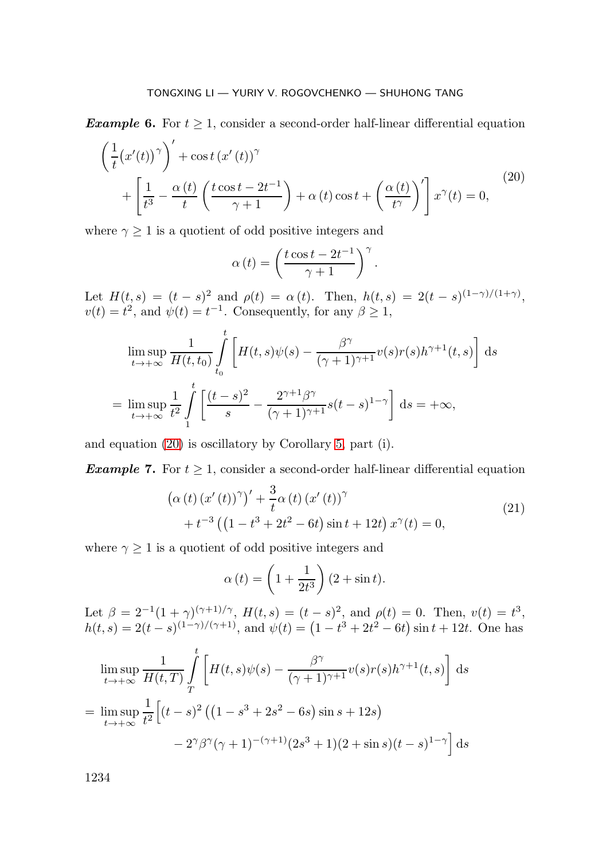*Example* 6. For  $t \geq 1$ , consider a second-order half-linear differential equation

<span id="page-7-0"></span>
$$
\left(\frac{1}{t}\left(x'(t)\right)^{\gamma}\right)' + \cos t \left(x'(t)\right)^{\gamma} \n+ \left[\frac{1}{t^3} - \frac{\alpha(t)}{t} \left(\frac{t \cos t - 2t^{-1}}{\gamma + 1}\right) + \alpha(t) \cos t + \left(\frac{\alpha(t)}{t^{\gamma}}\right)'\right] x^{\gamma}(t) = 0,
$$
\n(20)

where  $\gamma \geq 1$  is a quotient of odd positive integers and

$$
\alpha(t) = \left(\frac{t\cos t - 2t^{-1}}{\gamma + 1}\right)^{\gamma}
$$

.

Let  $H(t,s) = (t - s)^2$  and  $\rho(t) = \alpha(t)$ . Then,  $h(t,s) = 2(t - s)^{(1-\gamma)/(1+\gamma)}$ ,  $v(t) = t^2$ , and  $\psi(t) = t^{-1}$ . Consequently, for any  $\beta \ge 1$ ,

$$
\limsup_{t \to +\infty} \frac{1}{H(t,t_0)} \int_{t_0}^t \left[ H(t,s)\psi(s) - \frac{\beta^{\gamma}}{(\gamma+1)^{\gamma+1}} v(s)r(s)h^{\gamma+1}(t,s) \right] ds
$$
  
= 
$$
\limsup_{t \to +\infty} \frac{1}{t^2} \int_{1}^t \left[ \frac{(t-s)^2}{s} - \frac{2^{\gamma+1}\beta^{\gamma}}{(\gamma+1)^{\gamma+1}} s(t-s)^{1-\gamma} \right] ds = +\infty,
$$

and equation [\(20\)](#page-7-0) is oscillatory by Corollary [5,](#page-6-1) part (i).

*Example* 7. For  $t \geq 1$ , consider a second-order half-linear differential equation

<span id="page-7-1"></span>
$$
\left(\alpha(t) (x'(t))^{\gamma}\right)' + \frac{3}{t} \alpha(t) (x'(t))^{\gamma} + t^{-3} \left((1 - t^3 + 2t^2 - 6t) \sin t + 12t\right) x^{\gamma}(t) = 0,
$$
\n(21)

where  $\gamma \geq 1$  is a quotient of odd positive integers and

$$
\alpha(t) = \left(1 + \frac{1}{2t^3}\right)(2 + \sin t).
$$

Let  $\beta = 2^{-1}(1+\gamma)^{(\gamma+1)/\gamma}$ ,  $H(t,s) = (t-s)^2$ , and  $\rho(t) = 0$ . Then,  $v(t) = t^3$ ,  $h(t,s) = 2(t-s)^{(1-\gamma)/(\gamma+1)}$ , and  $\psi(t) = (1-t^3+2t^2-6t)\sin t + 12t$ . One has

$$
\limsup_{t \to +\infty} \frac{1}{H(t,T)} \int_{T}^{t} \left[ H(t,s)\psi(s) - \frac{\beta^{\gamma}}{(\gamma+1)^{\gamma+1}} v(s)r(s)h^{\gamma+1}(t,s) \right] ds
$$
\n
$$
= \limsup_{t \to +\infty} \frac{1}{t^2} \left[ (t-s)^2 \left( (1-s^3 + 2s^2 - 6s) \sin s + 12s \right) - 2^{\gamma} \beta^{\gamma} (\gamma+1)^{-(\gamma+1)} (2s^3 + 1)(2 + \sin s)(t-s)^{1-\gamma} \right] ds
$$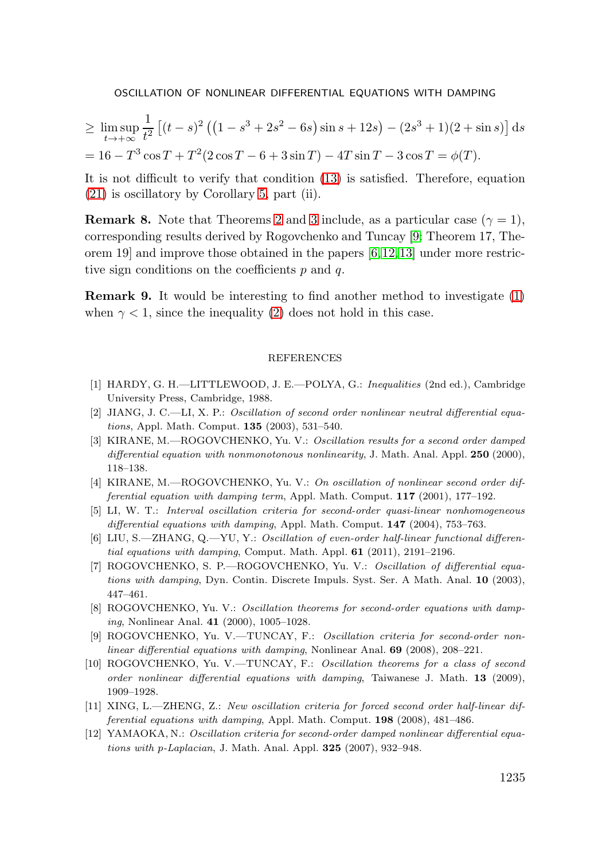$$
\geq \limsup_{t \to +\infty} \frac{1}{t^2} \left[ (t-s)^2 \left( \left( 1 - s^3 + 2s^2 - 6s \right) \sin s + 12s \right) - (2s^3 + 1)(2 + \sin s) \right] ds
$$
  
= 16 - T<sup>3</sup> cos T + T<sup>2</sup> (2 cos T – 6 + 3 sin T) – 4T sin T – 3 cos T =  $\phi$ (T).

It is not difficult to verify that condition [\(13\)](#page-4-1) is satisfied. Therefore, equation [\(21\)](#page-7-1) is oscillatory by Corollary [5,](#page-6-1) part (ii).

**Remark 8.** Note that Theorems [2](#page-1-3) and [3](#page-4-2) include, as a particular case  $(\gamma = 1)$ , corresponding results derived by Rogovchenko and Tuncay [\[9:](#page-8-2) Theorem 17, Theorem 19] and improve those obtained in the papers [\[6,](#page-8-5)[12,](#page-8-6)[13\]](#page-9-0) under more restrictive sign conditions on the coefficients  $p$  and  $q$ .

<span id="page-8-4"></span><span id="page-8-3"></span>**Remark 9.** It would be interesting to find another method to investigate [\(1\)](#page-0-0) when  $\gamma$  < 1, since the inequality [\(2\)](#page-1-0) does not hold in this case.

#### <span id="page-8-0"></span>REFERENCES

- <span id="page-8-1"></span>[1] HARDY, G. H.—LITTLEWOOD, J. E.—POLYA, G.: Inequalities (2nd ed.), Cambridge University Press, Cambridge, 1988.
- [2] JIANG, J. C.—LI, X. P.: Oscillation of second order nonlinear neutral differential equations, Appl. Math. Comput. **135** (2003), 531–540.
- <span id="page-8-5"></span>[3] KIRANE, M.—ROGOVCHENKO, Yu. V.: Oscillation results for a second order damped differential equation with nonmonotonous nonlinearity, J. Math. Anal. Appl. **250** (2000), 118–138.
- [4] KIRANE, M.—ROGOVCHENKO, Yu. V.: On oscillation of nonlinear second order differential equation with damping term, Appl. Math. Comput. **117** (2001), 177–192.
- [5] LI, W. T.: Interval oscillation criteria for second-order quasi-linear nonhomogeneous differential equations with damping, Appl. Math. Comput. **147** (2004), 753–763.
- <span id="page-8-2"></span>[6] LIU, S.—ZHANG, Q.—YU, Y.: Oscillation of even-order half-linear functional differential equations with damping, Comput. Math. Appl. **61** (2011), 2191–2196.
- [7] ROGOVCHENKO, S. P.—ROGOVCHENKO, Yu. V.: Oscillation of differential equations with damping, Dyn. Contin. Discrete Impuls. Syst. Ser. A Math. Anal. **10** (2003), 447–461.
- [8] ROGOVCHENKO, Yu. V.: Oscillation theorems for second-order equations with damping, Nonlinear Anal. **41** (2000), 1005–1028.
- <span id="page-8-6"></span>[9] ROGOVCHENKO, Yu. V.—TUNCAY, F.: Oscillation criteria for second-order nonlinear differential equations with damping, Nonlinear Anal. **69** (2008), 208–221.
- [10] ROGOVCHENKO, Yu. V.—TUNCAY, F.: Oscillation theorems for a class of second order nonlinear differential equations with damping, Taiwanese J. Math. **13** (2009), 1909–1928.
- [11] XING, L.—ZHENG, Z.: New oscillation criteria for forced second order half-linear differential equations with damping, Appl. Math. Comput. **198** (2008), 481–486.
- [12] YAMAOKA, N.: Oscillation criteria for second-order damped nonlinear differential equations with *p*-Laplacian, J. Math. Anal. Appl. **325** (2007), 932–948.